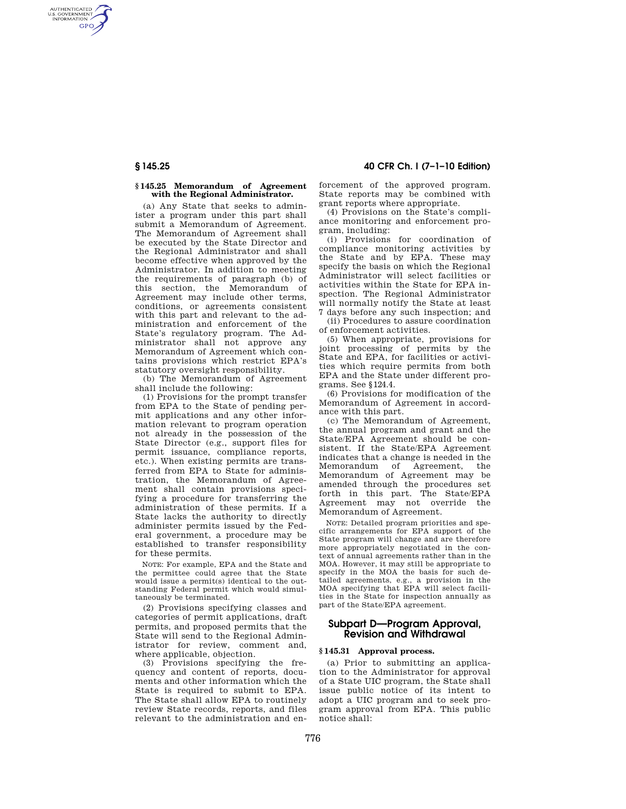AUTHENTICATED<br>U.S. GOVERNMENT<br>INFORMATION **GPO** 

### **§ 145.25 Memorandum of Agreement with the Regional Administrator.**

(a) Any State that seeks to administer a program under this part shall submit a Memorandum of Agreement. The Memorandum of Agreement shall be executed by the State Director and the Regional Administrator and shall become effective when approved by the Administrator. In addition to meeting the requirements of paragraph (b) of this section, the Memorandum of Agreement may include other terms, conditions, or agreements consistent with this part and relevant to the administration and enforcement of the State's regulatory program. The Administrator shall not approve any Memorandum of Agreement which contains provisions which restrict EPA's statutory oversight responsibility.

(b) The Memorandum of Agreement shall include the following:

(1) Provisions for the prompt transfer from EPA to the State of pending permit applications and any other information relevant to program operation not already in the possession of the State Director (e.g., support files for permit issuance, compliance reports, etc.). When existing permits are transferred from EPA to State for administration, the Memorandum of Agreement shall contain provisions specifying a procedure for transferring the administration of these permits. If a State lacks the authority to directly administer permits issued by the Federal government, a procedure may be established to transfer responsibility for these permits.

NOTE: For example, EPA and the State and the permittee could agree that the State would issue a permit(s) identical to the outstanding Federal permit which would simultaneously be terminated.

(2) Provisions specifying classes and categories of permit applications, draft permits, and proposed permits that the State will send to the Regional Administrator for review, comment and, where applicable, objection.

(3) Provisions specifying the frequency and content of reports, documents and other information which the State is required to submit to EPA. The State shall allow EPA to routinely review State records, reports, and files relevant to the administration and en-

**§ 145.25 40 CFR Ch. I (7–1–10 Edition)** 

forcement of the approved program. State reports may be combined with grant reports where appropriate.

(4) Provisions on the State's compliance monitoring and enforcement program, including:

(i) Provisions for coordination of compliance monitoring activities by the State and by EPA. These may specify the basis on which the Regional Administrator will select facilities or activities within the State for EPA inspection. The Regional Administrator will normally notify the State at least 7 days before any such inspection; and

(ii) Procedures to assure coordination of enforcement activities.

(5) When appropriate, provisions for joint processing of permits by the State and EPA, for facilities or activities which require permits from both EPA and the State under different programs. See §124.4.

(6) Provisions for modification of the Memorandum of Agreement in accordance with this part.

(c) The Memorandum of Agreement, the annual program and grant and the State/EPA Agreement should be consistent. If the State/EPA Agreement indicates that a change is needed in the Memorandum of Agreement, the Memorandum of Agreement may be amended through the procedures set forth in this part. The State/EPA Agreement may not override the Memorandum of Agreement.

NOTE: Detailed program priorities and specific arrangements for EPA support of the State program will change and are therefore more appropriately negotiated in the context of annual agreements rather than in the MOA. However, it may still be appropriate to specify in the MOA the basis for such detailed agreements, e.g., a provision in the MOA specifying that EPA will select facilities in the State for inspection annually as part of the State/EPA agreement.

# **Subpart D—Program Approval, Revision and Withdrawal**

### **§ 145.31 Approval process.**

(a) Prior to submitting an application to the Administrator for approval of a State UIC program, the State shall issue public notice of its intent to adopt a UIC program and to seek program approval from EPA. This public notice shall: